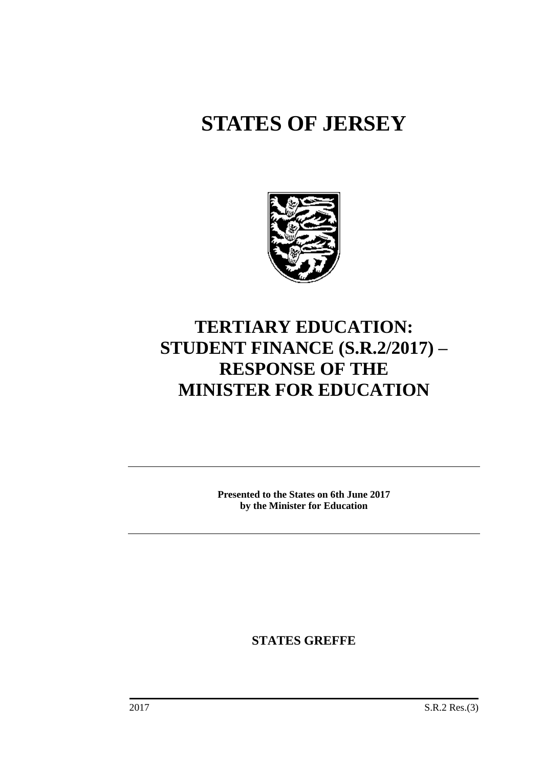# **STATES OF JERSEY**



## **TERTIARY EDUCATION: STUDENT FINANCE (S.R.2/2017) – RESPONSE OF THE MINISTER FOR EDUCATION**

**Presented to the States on 6th June 2017 by the Minister for Education**

**STATES GREFFE**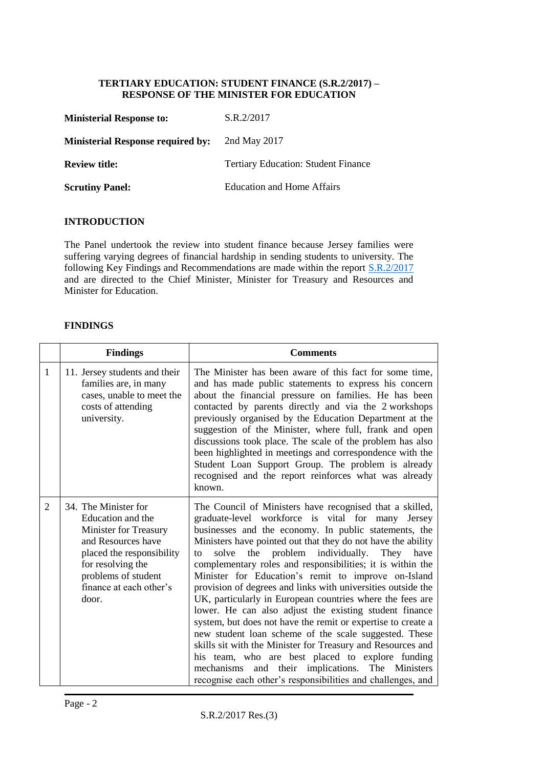#### **TERTIARY EDUCATION: STUDENT FINANCE (S.R.2/2017) – RESPONSE OF THE MINISTER FOR EDUCATION**

| <b>Ministerial Response to:</b>          | S.R.2/2017                                 |
|------------------------------------------|--------------------------------------------|
| <b>Ministerial Response required by:</b> | 2nd May 2017                               |
| <b>Review title:</b>                     | <b>Tertiary Education: Student Finance</b> |
| <b>Scrutiny Panel:</b>                   | Education and Home Affairs                 |

#### **INTRODUCTION**

The Panel undertook the review into student finance because Jersey families were suffering varying degrees of financial hardship in sending students to university. The following Key Findings and Recommendations are made within the report **S.R.2/2017** and are directed to the Chief Minister, Minister for Treasury and Resources and Minister for Education.

#### **FINDINGS**

|   | <b>Findings</b>                                                                                                                                                                                       | <b>Comments</b>                                                                                                                                                                                                                                                                                                                                                                                                                                                                                                                                                                                                                                                                                                                                                                                                                                                                                                                                                               |
|---|-------------------------------------------------------------------------------------------------------------------------------------------------------------------------------------------------------|-------------------------------------------------------------------------------------------------------------------------------------------------------------------------------------------------------------------------------------------------------------------------------------------------------------------------------------------------------------------------------------------------------------------------------------------------------------------------------------------------------------------------------------------------------------------------------------------------------------------------------------------------------------------------------------------------------------------------------------------------------------------------------------------------------------------------------------------------------------------------------------------------------------------------------------------------------------------------------|
| 1 | 11. Jersey students and their<br>families are, in many<br>cases, unable to meet the<br>costs of attending<br>university.                                                                              | The Minister has been aware of this fact for some time,<br>and has made public statements to express his concern<br>about the financial pressure on families. He has been<br>contacted by parents directly and via the 2 workshops<br>previously organised by the Education Department at the<br>suggestion of the Minister, where full, frank and open<br>discussions took place. The scale of the problem has also<br>been highlighted in meetings and correspondence with the<br>Student Loan Support Group. The problem is already<br>recognised and the report reinforces what was already<br>known.                                                                                                                                                                                                                                                                                                                                                                     |
| 2 | 34. The Minister for<br>Education and the<br>Minister for Treasury<br>and Resources have<br>placed the responsibility<br>for resolving the<br>problems of student<br>finance at each other's<br>door. | The Council of Ministers have recognised that a skilled,<br>graduate-level workforce is vital for many Jersey<br>businesses and the economy. In public statements, the<br>Ministers have pointed out that they do not have the ability<br>problem individually. They have<br>solve<br>the<br>to<br>complementary roles and responsibilities; it is within the<br>Minister for Education's remit to improve on-Island<br>provision of degrees and links with universities outside the<br>UK, particularly in European countries where the fees are<br>lower. He can also adjust the existing student finance<br>system, but does not have the remit or expertise to create a<br>new student loan scheme of the scale suggested. These<br>skills sit with the Minister for Treasury and Resources and<br>his team, who are best placed to explore funding<br>mechanisms<br>and their implications. The Ministers<br>recognise each other's responsibilities and challenges, and |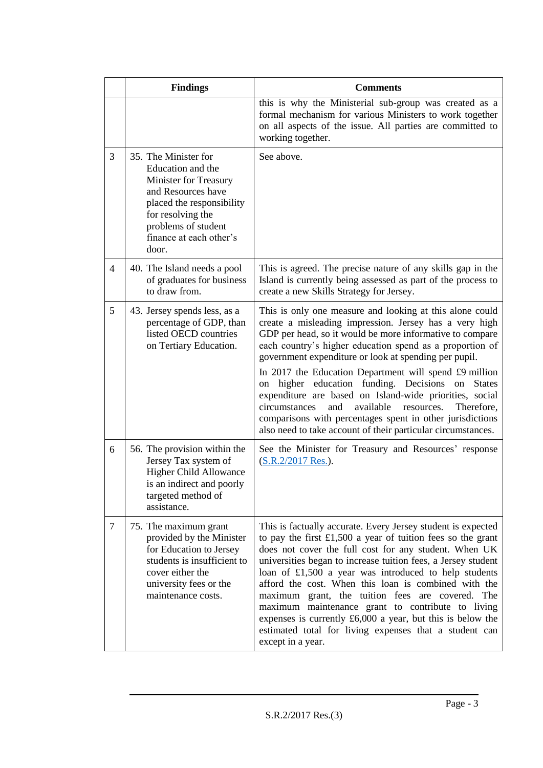|   | <b>Findings</b>                                                                                                                                                                                              | <b>Comments</b>                                                                                                                                                                                                                                                                                                                                                                                                                                                                                                                                                                                                                                                                            |  |  |  |
|---|--------------------------------------------------------------------------------------------------------------------------------------------------------------------------------------------------------------|--------------------------------------------------------------------------------------------------------------------------------------------------------------------------------------------------------------------------------------------------------------------------------------------------------------------------------------------------------------------------------------------------------------------------------------------------------------------------------------------------------------------------------------------------------------------------------------------------------------------------------------------------------------------------------------------|--|--|--|
|   |                                                                                                                                                                                                              | this is why the Ministerial sub-group was created as a<br>formal mechanism for various Ministers to work together<br>on all aspects of the issue. All parties are committed to<br>working together.                                                                                                                                                                                                                                                                                                                                                                                                                                                                                        |  |  |  |
| 3 | 35. The Minister for<br>Education and the<br><b>Minister for Treasury</b><br>and Resources have<br>placed the responsibility<br>for resolving the<br>problems of student<br>finance at each other's<br>door. | See above.                                                                                                                                                                                                                                                                                                                                                                                                                                                                                                                                                                                                                                                                                 |  |  |  |
| 4 | 40. The Island needs a pool<br>of graduates for business<br>to draw from.                                                                                                                                    | This is agreed. The precise nature of any skills gap in the<br>Island is currently being assessed as part of the process to<br>create a new Skills Strategy for Jersey.                                                                                                                                                                                                                                                                                                                                                                                                                                                                                                                    |  |  |  |
| 5 | 43. Jersey spends less, as a<br>percentage of GDP, than<br>listed OECD countries<br>on Tertiary Education.                                                                                                   | This is only one measure and looking at this alone could<br>create a misleading impression. Jersey has a very high<br>GDP per head, so it would be more informative to compare<br>each country's higher education spend as a proportion of<br>government expenditure or look at spending per pupil.<br>In 2017 the Education Department will spend £9 million<br>higher education funding. Decisions<br><b>States</b><br>on<br>on<br>expenditure are based on Island-wide priorities, social<br>available<br>circumstances<br>and<br>resources.<br>Therefore,<br>comparisons with percentages spent in other jurisdictions<br>also need to take account of their particular circumstances. |  |  |  |
| 6 | 56. The provision within the<br>Jersey Tax system of<br><b>Higher Child Allowance</b><br>is an indirect and poorly<br>targeted method of<br>assistance.                                                      | See the Minister for Treasury and Resources' response<br>(S.R.2/2017 Res.).                                                                                                                                                                                                                                                                                                                                                                                                                                                                                                                                                                                                                |  |  |  |
| 7 | 75. The maximum grant<br>provided by the Minister<br>for Education to Jersey<br>students is insufficient to<br>cover either the<br>university fees or the<br>maintenance costs.                              | This is factually accurate. Every Jersey student is expected<br>to pay the first $£1,500$ a year of tuition fees so the grant<br>does not cover the full cost for any student. When UK<br>universities began to increase tuition fees, a Jersey student<br>loan of $£1,500$ a year was introduced to help students<br>afford the cost. When this loan is combined with the<br>maximum grant, the tuition fees are covered. The<br>maximum maintenance grant to contribute to living<br>expenses is currently $£6,000$ a year, but this is below the<br>estimated total for living expenses that a student can<br>except in a year.                                                         |  |  |  |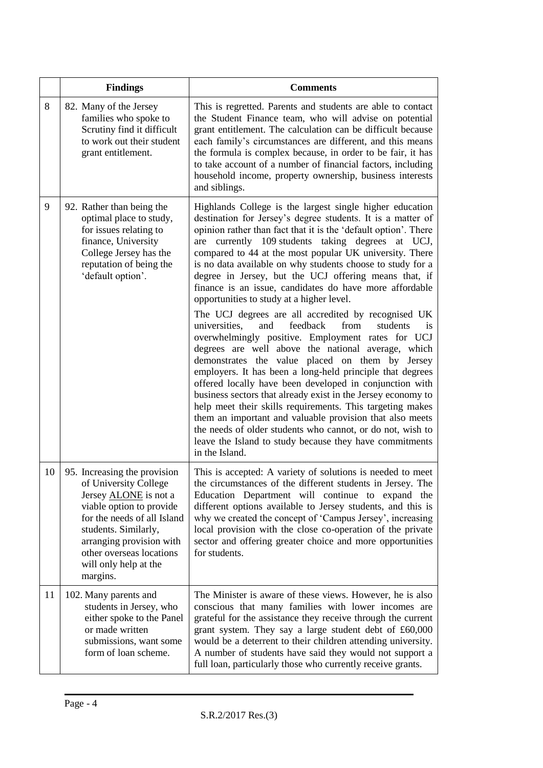|    | <b>Findings</b>                                                                                                                                                                                                                                                       | <b>Comments</b>                                                                                                                                                                                                                                                                                                                                                                                                                                                                                                                                                                                                                                                                                                                                                                                                                                                                                                                                                                                                                                                                                                                                                                                                                                                                             |  |  |  |  |
|----|-----------------------------------------------------------------------------------------------------------------------------------------------------------------------------------------------------------------------------------------------------------------------|---------------------------------------------------------------------------------------------------------------------------------------------------------------------------------------------------------------------------------------------------------------------------------------------------------------------------------------------------------------------------------------------------------------------------------------------------------------------------------------------------------------------------------------------------------------------------------------------------------------------------------------------------------------------------------------------------------------------------------------------------------------------------------------------------------------------------------------------------------------------------------------------------------------------------------------------------------------------------------------------------------------------------------------------------------------------------------------------------------------------------------------------------------------------------------------------------------------------------------------------------------------------------------------------|--|--|--|--|
| 8  | 82. Many of the Jersey<br>families who spoke to<br>Scrutiny find it difficult<br>to work out their student<br>grant entitlement.                                                                                                                                      | This is regretted. Parents and students are able to contact<br>the Student Finance team, who will advise on potential<br>grant entitlement. The calculation can be difficult because<br>each family's circumstances are different, and this means<br>the formula is complex because, in order to be fair, it has<br>to take account of a number of financial factors, including<br>household income, property ownership, business interests<br>and siblings.                                                                                                                                                                                                                                                                                                                                                                                                                                                                                                                                                                                                                                                                                                                                                                                                                                |  |  |  |  |
| 9  | 92. Rather than being the<br>optimal place to study,<br>for issues relating to<br>finance, University<br>College Jersey has the<br>reputation of being the<br>'default option'.                                                                                       | Highlands College is the largest single higher education<br>destination for Jersey's degree students. It is a matter of<br>opinion rather than fact that it is the 'default option'. There<br>currently 109 students taking degrees at UCJ,<br>are<br>compared to 44 at the most popular UK university. There<br>is no data available on why students choose to study for a<br>degree in Jersey, but the UCJ offering means that, if<br>finance is an issue, candidates do have more affordable<br>opportunities to study at a higher level.<br>The UCJ degrees are all accredited by recognised UK<br>feedback<br>universities.<br>and<br>from<br>students<br>1S<br>overwhelmingly positive. Employment rates for UCJ<br>degrees are well above the national average, which<br>demonstrates the value placed on them by Jersey<br>employers. It has been a long-held principle that degrees<br>offered locally have been developed in conjunction with<br>business sectors that already exist in the Jersey economy to<br>help meet their skills requirements. This targeting makes<br>them an important and valuable provision that also meets<br>the needs of older students who cannot, or do not, wish to<br>leave the Island to study because they have commitments<br>in the Island. |  |  |  |  |
| 10 | 95. Increasing the provision<br>of University College<br>Jersey <b>ALONE</b> is not a<br>viable option to provide<br>for the needs of all Island<br>students. Similarly,<br>arranging provision with<br>other overseas locations<br>will only help at the<br>margins. | This is accepted: A variety of solutions is needed to meet<br>the circumstances of the different students in Jersey. The<br>Education Department will continue to expand the<br>different options available to Jersey students, and this is<br>why we created the concept of 'Campus Jersey', increasing<br>local provision with the close co-operation of the private<br>sector and offering greater choice and more opportunities<br>for students.                                                                                                                                                                                                                                                                                                                                                                                                                                                                                                                                                                                                                                                                                                                                                                                                                                        |  |  |  |  |
| 11 | 102. Many parents and<br>students in Jersey, who<br>either spoke to the Panel<br>or made written<br>submissions, want some<br>form of loan scheme.                                                                                                                    | The Minister is aware of these views. However, he is also<br>conscious that many families with lower incomes are<br>grateful for the assistance they receive through the current<br>grant system. They say a large student debt of £60,000<br>would be a deterrent to their children attending university.<br>A number of students have said they would not support a<br>full loan, particularly those who currently receive grants.                                                                                                                                                                                                                                                                                                                                                                                                                                                                                                                                                                                                                                                                                                                                                                                                                                                        |  |  |  |  |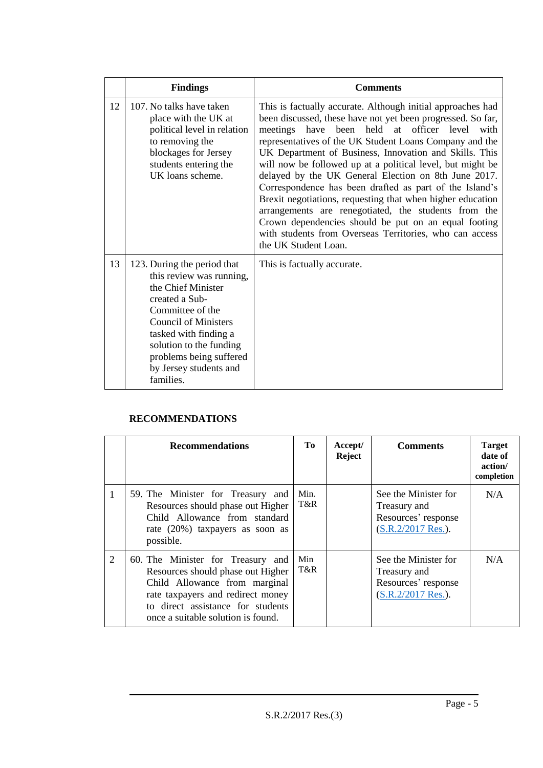|    | <b>Findings</b>                                                                                                                                                                                                                                                          | <b>Comments</b>                                                                                                                                                                                                                                                                                                                                                                                                                                                                                                                                                                                                                                                                                                                                    |
|----|--------------------------------------------------------------------------------------------------------------------------------------------------------------------------------------------------------------------------------------------------------------------------|----------------------------------------------------------------------------------------------------------------------------------------------------------------------------------------------------------------------------------------------------------------------------------------------------------------------------------------------------------------------------------------------------------------------------------------------------------------------------------------------------------------------------------------------------------------------------------------------------------------------------------------------------------------------------------------------------------------------------------------------------|
| 12 | 107. No talks have taken<br>place with the UK at<br>political level in relation<br>to removing the<br>blockages for Jersey<br>students entering the<br>UK loans scheme.                                                                                                  | This is factually accurate. Although initial approaches had<br>been discussed, these have not yet been progressed. So far,<br>meetings have been held at officer level with<br>representatives of the UK Student Loans Company and the<br>UK Department of Business, Innovation and Skills. This<br>will now be followed up at a political level, but might be<br>delayed by the UK General Election on 8th June 2017.<br>Correspondence has been drafted as part of the Island's<br>Brexit negotiations, requesting that when higher education<br>arrangements are renegotiated, the students from the<br>Crown dependencies should be put on an equal footing<br>with students from Overseas Territories, who can access<br>the UK Student Loan. |
| 13 | 123. During the period that<br>this review was running,<br>the Chief Minister<br>created a Sub-<br>Committee of the<br><b>Council of Ministers</b><br>tasked with finding a<br>solution to the funding<br>problems being suffered<br>by Jersey students and<br>families. | This is factually accurate.                                                                                                                                                                                                                                                                                                                                                                                                                                                                                                                                                                                                                                                                                                                        |

### **RECOMMENDATIONS**

|   | <b>Recommendations</b>                                                                                                                                                                                                  | Tо          | Accept/<br><b>Reject</b> | <b>Comments</b>                                                                      | <b>Target</b><br>date of<br>action/<br>completion |
|---|-------------------------------------------------------------------------------------------------------------------------------------------------------------------------------------------------------------------------|-------------|--------------------------|--------------------------------------------------------------------------------------|---------------------------------------------------|
| 1 | 59. The Minister for Treasury and<br>Resources should phase out Higher<br>Child Allowance from standard<br>rate (20%) taxpayers as soon as<br>possible.                                                                 | Min.<br>T&R |                          | See the Minister for<br>Treasury and<br>Resources' response<br>$(S.R.2/2017 Res.)$ . | N/A                                               |
| 2 | 60. The Minister for Treasury and<br>Resources should phase out Higher<br>Child Allowance from marginal<br>rate taxpayers and redirect money<br>to direct assistance for students<br>once a suitable solution is found. | Min<br>T&R  |                          | See the Minister for<br>Treasury and<br>Resources' response<br>$(S.R.2/2017 Res.)$ . | N/A                                               |